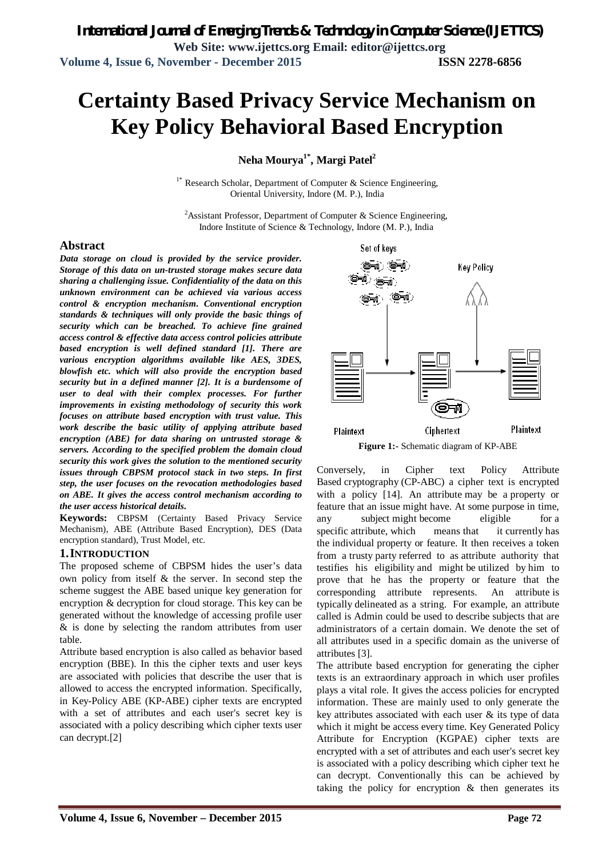# **Certainty Based Privacy Service Mechanism on Key Policy Behavioral Based Encryption**

**Neha Mourya1\* , Margi Patel<sup>2</sup>**

<sup>1\*</sup> Research Scholar, Department of Computer & Science Engineering, Oriental University, Indore (M. P.), India

<sup>2</sup> Assistant Professor, Department of Computer & Science Engineering, Indore Institute of Science & Technology, Indore (M. P.), India

#### **Abstract**

*Data storage on cloud is provided by the service provider. Storage of this data on un-trusted storage makes secure data sharing a challenging issue. Confidentiality of the data on this unknown environment can be achieved via various access control & encryption mechanism. Conventional encryption standards & techniques will only provide the basic things of security which can be breached. To achieve fine grained access control & effective data access control policies attribute based encryption is well defined standard [1]. There are various encryption algorithms available like AES, 3DES, blowfish etc. which will also provide the encryption based security but in a defined manner [2]. It is a burdensome of user to deal with their complex processes. For further improvements in existing methodology of security this work focuses on attribute based encryption with trust value. This work describe the basic utility of applying attribute based encryption (ABE) for data sharing on untrusted storage & servers. According to the specified problem the domain cloud security this work gives the solution to the mentioned security issues through CBPSM protocol stack in two steps. In first step, the user focuses on the revocation methodologies based on ABE. It gives the access control mechanism according to the user access historical details.*

**Keywords:** CBPSM (Certainty Based Privacy Service Mechanism), ABE (Attribute Based Encryption), DES (Data encryption standard), Trust Model, etc.

#### **1.INTRODUCTION**

The proposed scheme of CBPSM hides the user's data own policy from itself & the server. In second step the scheme suggest the ABE based unique key generation for encryption & decryption for cloud storage. This key can be generated without the knowledge of accessing profile user & is done by selecting the random attributes from user table.

Attribute based encryption is also called as behavior based encryption (BBE). In this the cipher texts and user keys are associated with policies that describe the user that is allowed to access the encrypted information. Specifically, in Key-Policy ABE (KP-ABE) cipher texts are encrypted with a set of attributes and each user's secret key is associated with a policy describing which cipher texts user can decrypt.[2]



Conversely, in Cipher text Policy Attribute Based cryptography (CP-ABC) a cipher text is encrypted with a policy [14]. An attribute may be a property or feature that an issue might have. At some purpose in time, any subject might become eligible for a specific attribute, which means that it currently has the individual property or feature. It then receives a token from a trusty party referred to as attribute authority that testifies his eligibility and might be utilized by him to prove that he has the property or feature that the corresponding attribute represents. An attribute is typically delineated as a string. For example, an attribute called is Admin could be used to describe subjects that are administrators of a certain domain. We denote the set of all attributes used in a specific domain as the universe of attributes [3].

The attribute based encryption for generating the cipher texts is an extraordinary approach in which user profiles plays a vital role. It gives the access policies for encrypted information. These are mainly used to only generate the key attributes associated with each user  $\&$  its type of data which it might be access every time. Key Generated Policy Attribute for Encryption (KGPAE) cipher texts are encrypted with a set of attributes and each user's secret key is associated with a policy describing which cipher text he can decrypt. Conventionally this can be achieved by taking the policy for encryption  $\&$  then generates its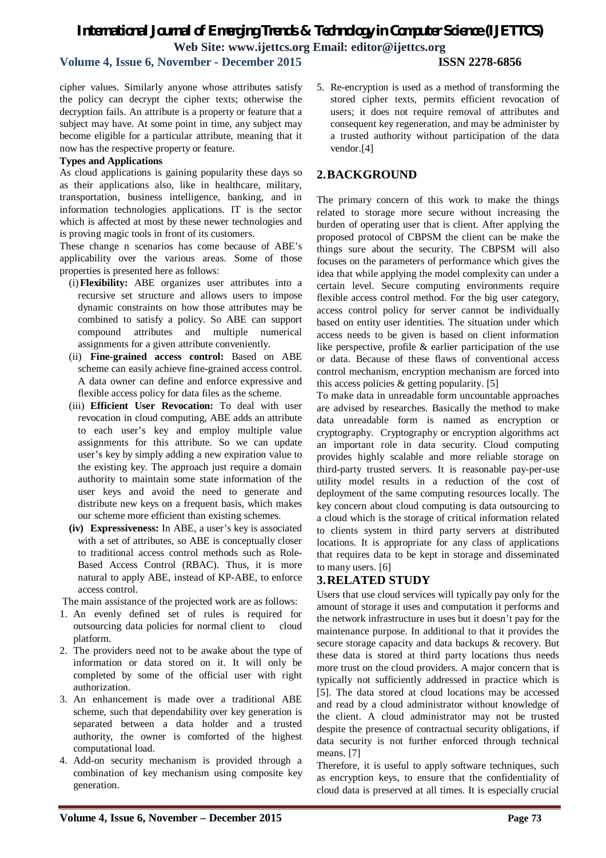# *International Journal of Emerging Trends & Technology in Computer Science (IJETTCS)* **Web Site: www.ijettcs.org Email: editor@ijettcs.org**

## **Volume 4, Issue 6, November - December 2015 ISSN 2278-6856**

cipher values. Similarly anyone whose attributes satisfy the policy can decrypt the cipher texts; otherwise the decryption fails. An attribute is a property or feature that a subject may have. At some point in time, any subject may become eligible for a particular attribute, meaning that it now has the respective property or feature.

#### **Types and Applications**

As cloud applications is gaining popularity these days so as their applications also, like in healthcare, military, transportation, business intelligence, banking, and in information technologies applications. IT is the sector which is affected at most by these newer technologies and is proving magic tools in front of its customers.

These change n scenarios has come because of ABE's applicability over the various areas. Some of those properties is presented here as follows:

- (i)**Flexibility:** ABE organizes user attributes into a recursive set structure and allows users to impose dynamic constraints on how those attributes may be combined to satisfy a policy. So ABE can support compound attributes and multiple numerical assignments for a given attribute conveniently.
- (ii) **Fine-grained access control:** Based on ABE scheme can easily achieve fine-grained access control. A data owner can define and enforce expressive and flexible access policy for data files as the scheme.
- (iii) **Efficient User Revocation:** To deal with user revocation in cloud computing, ABE adds an attribute to each user's key and employ multiple value assignments for this attribute. So we can update user's key by simply adding a new expiration value to the existing key. The approach just require a domain authority to maintain some state information of the user keys and avoid the need to generate and distribute new keys on a frequent basis, which makes our scheme more efficient than existing schemes.
- **(iv) Expressiveness:** In ABE, a user's key is associated with a set of attributes, so ABE is conceptually closer to traditional access control methods such as Role-Based Access Control (RBAC). Thus, it is more natural to apply ABE, instead of KP-ABE, to enforce access control.

The main assistance of the projected work are as follows:

- 1. An evenly defined set of rules is required for outsourcing data policies for normal client to cloud platform.
- 2. The providers need not to be awake about the type of information or data stored on it. It will only be completed by some of the official user with right authorization.
- 3. An enhancement is made over a traditional ABE scheme, such that dependability over key generation is separated between a data holder and a trusted authority, the owner is comforted of the highest computational load.
- 4. Add-on security mechanism is provided through a combination of key mechanism using composite key generation.

5. Re-encryption is used as a method of transforming the stored cipher texts, permits efficient revocation of users; it does not require removal of attributes and consequent key regeneration, and may be administer by a trusted authority without participation of the data vendor.[4]

### **2.BACKGROUND**

The primary concern of this work to make the things related to storage more secure without increasing the burden of operating user that is client. After applying the proposed protocol of CBPSM the client can be make the things sure about the security. The CBPSM will also focuses on the parameters of performance which gives the idea that while applying the model complexity can under a certain level. Secure computing environments require flexible access control method. For the big user category, access control policy for server cannot be individually based on entity user identities. The situation under which access needs to be given is based on client information like perspective, profile & earlier participation of the use or data. Because of these flaws of conventional access control mechanism, encryption mechanism are forced into this access policies & getting popularity. [5]

To make data in unreadable form uncountable approaches are advised by researches. Basically the method to make data unreadable form is named as encryption or cryptography. Cryptography or encryption algorithms act an important role in data security. Cloud computing provides highly scalable and more reliable storage on third-party trusted servers. It is reasonable pay-per-use utility model results in a reduction of the cost of deployment of the same computing resources locally. The key concern about cloud computing is data outsourcing to a cloud which is the storage of critical information related to clients system in third party servers at distributed locations. It is appropriate for any class of applications that requires data to be kept in storage and disseminated to many users. [6]

# **3.RELATED STUDY**

Users that use cloud services will typically pay only for the amount of storage it uses and computation it performs and the network infrastructure in uses but it doesn't pay for the maintenance purpose. In additional to that it provides the secure storage capacity and data backups & recovery. But these data is stored at third party locations thus needs more trust on the cloud providers. A major concern that is typically not sufficiently addressed in practice which is [5]. The data stored at cloud locations may be accessed and read by a cloud administrator without knowledge of the client. A cloud administrator may not be trusted despite the presence of contractual security obligations, if data security is not further enforced through technical means. [7]

Therefore, it is useful to apply software techniques, such as encryption keys, to ensure that the confidentiality of cloud data is preserved at all times. It is especially crucial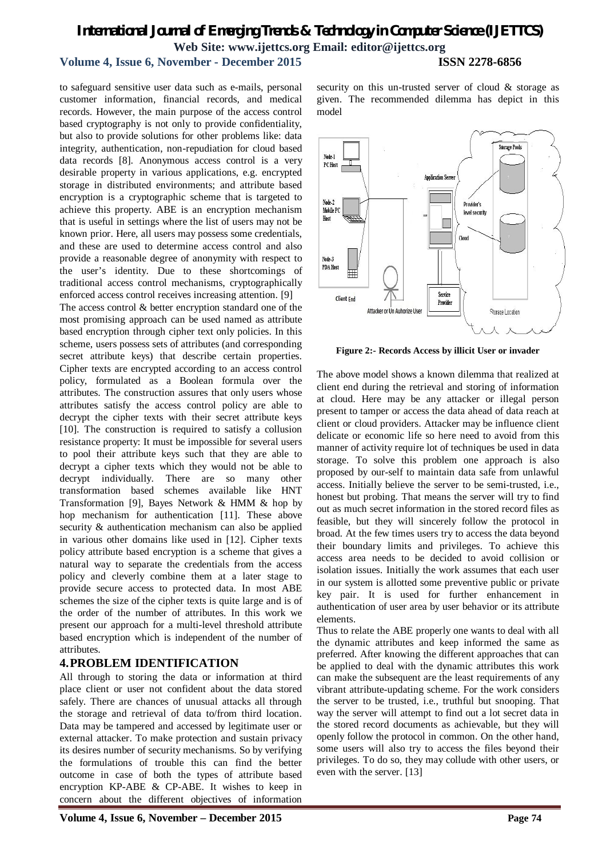# *International Journal of Emerging Trends & Technology in Computer Science (IJETTCS)* **Web Site: www.ijettcs.org Email: editor@ijettcs.org Volume 4, Issue 6, November - December 2015 ISSN 2278-6856**

to safeguard sensitive user data such as e-mails, personal customer information, financial records, and medical records. However, the main purpose of the access control based cryptography is not only to provide confidentiality, but also to provide solutions for other problems like: data integrity, authentication, non-repudiation for cloud based data records [8]. Anonymous access control is a very desirable property in various applications, e.g. encrypted storage in distributed environments; and attribute based encryption is a cryptographic scheme that is targeted to achieve this property. ABE is an encryption mechanism that is useful in settings where the list of users may not be known prior. Here, all users may possess some credentials, and these are used to determine access control and also provide a reasonable degree of anonymity with respect to the user's identity. Due to these shortcomings of traditional access control mechanisms, cryptographically enforced access control receives increasing attention. [9]

The access control & better encryption standard one of the most promising approach can be used named as attribute based encryption through cipher text only policies. In this scheme, users possess sets of attributes (and corresponding secret attribute keys) that describe certain properties. Cipher texts are encrypted according to an access control policy, formulated as a Boolean formula over the attributes. The construction assures that only users whose attributes satisfy the access control policy are able to decrypt the cipher texts with their secret attribute keys [10]. The construction is required to satisfy a collusion resistance property: It must be impossible for several users to pool their attribute keys such that they are able to decrypt a cipher texts which they would not be able to decrypt individually. There are so many other transformation based schemes available like HNT Transformation [9], Bayes Network & HMM & hop by hop mechanism for authentication [11]. These above security & authentication mechanism can also be applied in various other domains like used in [12]. Cipher texts policy attribute based encryption is a scheme that gives a natural way to separate the credentials from the access policy and cleverly combine them at a later stage to provide secure access to protected data. In most ABE schemes the size of the cipher texts is quite large and is of the order of the number of attributes. In this work we present our approach for a multi-level threshold attribute based encryption which is independent of the number of attributes.

#### **4.PROBLEM IDENTIFICATION**

All through to storing the data or information at third place client or user not confident about the data stored safely. There are chances of unusual attacks all through the storage and retrieval of data to/from third location. Data may be tampered and accessed by legitimate user or external attacker. To make protection and sustain privacy its desires number of security mechanisms. So by verifying the formulations of trouble this can find the better outcome in case of both the types of attribute based encryption KP-ABE & CP-ABE. It wishes to keep in concern about the different objectives of information

security on this un-trusted server of cloud & storage as given. The recommended dilemma has depict in this model



**Figure 2:- Records Access by illicit User or invader**

The above model shows a known dilemma that realized at client end during the retrieval and storing of information at cloud. Here may be any attacker or illegal person present to tamper or access the data ahead of data reach at client or cloud providers. Attacker may be influence client delicate or economic life so here need to avoid from this manner of activity require lot of techniques be used in data storage. To solve this problem one approach is also proposed by our-self to maintain data safe from unlawful access. Initially believe the server to be semi-trusted, i.e., honest but probing. That means the server will try to find out as much secret information in the stored record files as feasible, but they will sincerely follow the protocol in broad. At the few times users try to access the data beyond their boundary limits and privileges. To achieve this access area needs to be decided to avoid collision or isolation issues. Initially the work assumes that each user in our system is allotted some preventive public or private key pair. It is used for further enhancement in authentication of user area by user behavior or its attribute elements.

Thus to relate the ABE properly one wants to deal with all the dynamic attributes and keep informed the same as preferred. After knowing the different approaches that can be applied to deal with the dynamic attributes this work can make the subsequent are the least requirements of any vibrant attribute-updating scheme. For the work considers the server to be trusted, i.e., truthful but snooping. That way the server will attempt to find out a lot secret data in the stored record documents as achievable, but they will openly follow the protocol in common. On the other hand, some users will also try to access the files beyond their privileges. To do so, they may collude with other users, or even with the server. [13]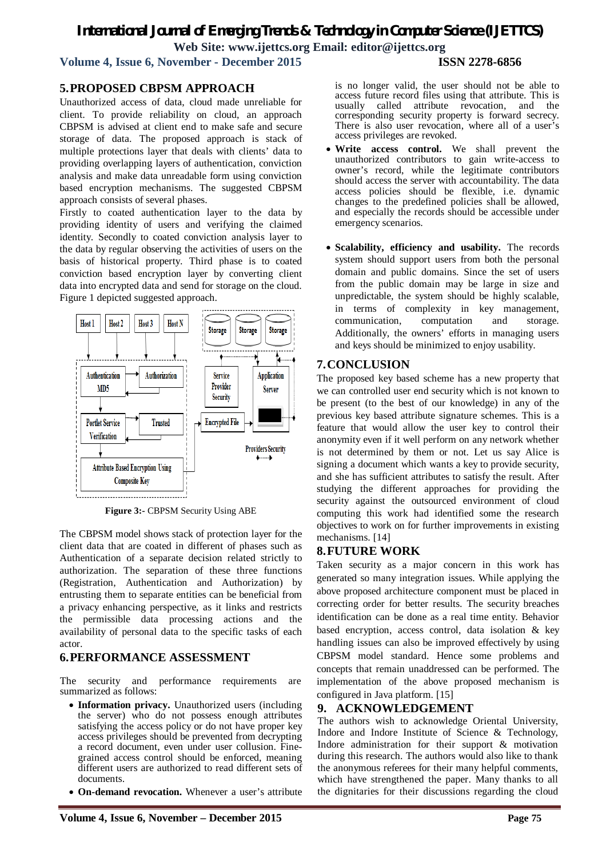# *International Journal of Emerging Trends & Technology in Computer Science (IJETTCS)* **Web Site: www.ijettcs.org Email: editor@ijettcs.org**

**Volume 4, Issue 6, November - December 2015 ISSN 2278-6856**

### **5.PROPOSED CBPSM APPROACH**

Unauthorized access of data, cloud made unreliable for client. To provide reliability on cloud, an approach CBPSM is advised at client end to make safe and secure storage of data. The proposed approach is stack of multiple protections layer that deals with clients' data to providing overlapping layers of authentication, conviction analysis and make data unreadable form using conviction based encryption mechanisms. The suggested CBPSM approach consists of several phases.

Firstly to coated authentication layer to the data by providing identity of users and verifying the claimed identity. Secondly to coated conviction analysis layer to the data by regular observing the activities of users on the basis of historical property. Third phase is to coated conviction based encryption layer by converting client data into encrypted data and send for storage on the cloud. Figure 1 depicted suggested approach.



**Figure 3:-** CBPSM Security Using ABE

The CBPSM model shows stack of protection layer for the client data that are coated in different of phases such as Authentication of a separate decision related strictly to authorization. The separation of these three functions (Registration, Authentication and Authorization) by entrusting them to separate entities can be beneficial from a privacy enhancing perspective, as it links and restricts the permissible data processing actions and the availability of personal data to the specific tasks of each actor.

#### **6.PERFORMANCE ASSESSMENT**

The security and performance requirements are summarized as follows:

- **Information privacy.** Unauthorized users (including the server) who do not possess enough attributes satisfying the access policy or do not have proper key access privileges should be prevented from decrypting a record document, even under user collusion. Finegrained access control should be enforced, meaning different users are authorized to read different sets of documents.
- **On-demand revocation.** Whenever a user's attribute

is no longer valid, the user should not be able to access future record files using that attribute. This is usually called attribute revocation, and the called attribute revocation, and the corresponding security property is forward secrecy. There is also user revocation, where all of a user's access privileges are revoked.

- **Write access control.** We shall prevent the unauthorized contributors to gain write-access to owner's record, while the legitimate contributors should access the server with accountability. The data access policies should be flexible, i.e. dynamic changes to the predefined policies shall be allowed, and especially the records should be accessible under emergency scenarios.
- **Scalability, efficiency and usability.** The records system should support users from both the personal domain and public domains. Since the set of users from the public domain may be large in size and unpredictable, the system should be highly scalable, in terms of complexity in key management, communication, computation and storage. Additionally, the owners' efforts in managing users and keys should be minimized to enjoy usability.

#### **7.CONCLUSION**

The proposed key based scheme has a new property that we can controlled user end security which is not known to be present (to the best of our knowledge) in any of the previous key based attribute signature schemes. This is a feature that would allow the user key to control their anonymity even if it well perform on any network whether is not determined by them or not. Let us say Alice is signing a document which wants a key to provide security, and she has sufficient attributes to satisfy the result. After studying the different approaches for providing the security against the outsourced environment of cloud computing this work had identified some the research objectives to work on for further improvements in existing mechanisms. [14]

#### **8.FUTURE WORK**

Taken security as a major concern in this work has generated so many integration issues. While applying the above proposed architecture component must be placed in correcting order for better results. The security breaches identification can be done as a real time entity. Behavior based encryption, access control, data isolation & key handling issues can also be improved effectively by using CBPSM model standard. Hence some problems and concepts that remain unaddressed can be performed. The implementation of the above proposed mechanism is configured in Java platform. [15]

#### **9. ACKNOWLEDGEMENT**

The authors wish to acknowledge Oriental University, Indore and Indore Institute of Science & Technology, Indore administration for their support & motivation during this research. The authors would also like to thank the anonymous referees for their many helpful comments, which have strengthened the paper. Many thanks to all the dignitaries for their discussions regarding the cloud